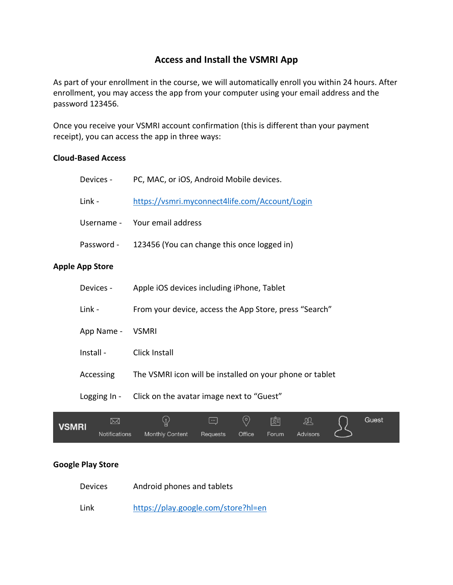## **Access and Install the VSMRI App**

As part of your enrollment in the course, we will automatically enroll you within 24 hours. After enrollment, you may access the app from your computer using your email address and the password 123456.

Once you receive your VSMRI account confirmation (this is different than your payment receipt), you can access the app in three ways:

## **Cloud-Based Access**

| VSMRI | $\boxtimes$                                                      | (၀)<br>质<br>Gue<br>$\overline{\phantom{a}}$<br>ΔU        |  |  |  |  |  |  |
|-------|------------------------------------------------------------------|----------------------------------------------------------|--|--|--|--|--|--|
|       | Logging In -                                                     | Click on the avatar image next to "Guest"                |  |  |  |  |  |  |
|       | Accessing                                                        | The VSMRI icon will be installed on your phone or tablet |  |  |  |  |  |  |
|       | Install -                                                        | <b>Click Install</b>                                     |  |  |  |  |  |  |
|       | App Name -                                                       | <b>VSMRI</b>                                             |  |  |  |  |  |  |
|       | Link -<br>From your device, access the App Store, press "Search" |                                                          |  |  |  |  |  |  |
|       | Devices -                                                        | Apple iOS devices including iPhone, Tablet               |  |  |  |  |  |  |
|       | <b>Apple App Store</b>                                           |                                                          |  |  |  |  |  |  |
|       | Password -                                                       | 123456 (You can change this once logged in)              |  |  |  |  |  |  |
|       | Username -                                                       | Your email address                                       |  |  |  |  |  |  |
|       | Link -                                                           | https://vsmri.myconnect4life.com/Account/Login           |  |  |  |  |  |  |
|       | Devices -                                                        | PC, MAC, or iOS, Android Mobile devices.                 |  |  |  |  |  |  |

Office

Forum

Requests

Advisors

 $\subset$ 

st

## **Google Play Store**

Notifications

**VS** 

Devices Android phones and tablets

Monthly Content

Link <https://play.google.com/store?hl=en>